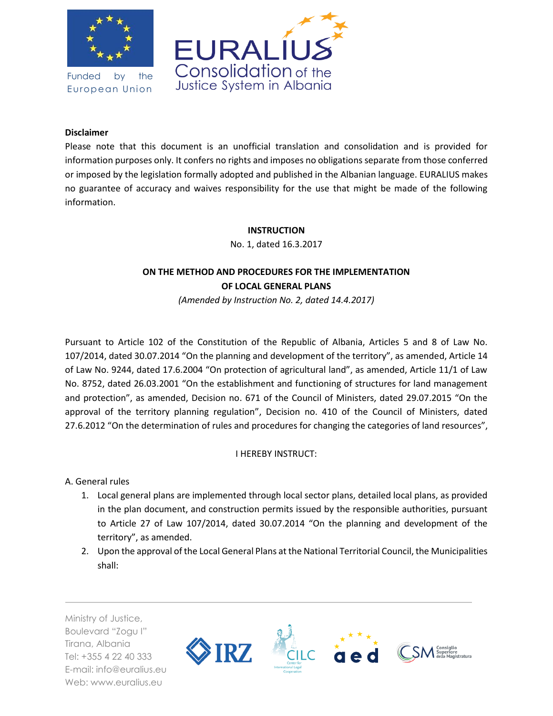

Funded by the European Union



# **Disclaimer**

Please note that this document is an unofficial translation and consolidation and is provided for information purposes only. It confers no rights and imposes no obligations separate from those conferred or imposed by the legislation formally adopted and published in the Albanian language. EURALIUS makes no guarantee of accuracy and waives responsibility for the use that might be made of the following information.

## **INSTRUCTION**

No. 1, dated 16.3.2017

# **ON THE METHOD AND PROCEDURES FOR THE IMPLEMENTATION OF LOCAL GENERAL PLANS**

*(Amended by Instruction No. 2, dated 14.4.2017)*

Pursuant to Article 102 of the Constitution of the Republic of Albania, Articles 5 and 8 of Law No. 107/2014, dated 30.07.2014 "On the planning and development of the territory", as amended, Article 14 of Law No. 9244, dated 17.6.2004 "On protection of agricultural land", as amended, Article 11/1 of Law No. 8752, dated 26.03.2001 "On the establishment and functioning of structures for land management and protection", as amended, Decision no. 671 of the Council of Ministers, dated 29.07.2015 "On the approval of the territory planning regulation", Decision no. 410 of the Council of Ministers, dated 27.6.2012 "On the determination of rules and procedures for changing the categories of land resources",

## I HEREBY INSTRUCT:

A. General rules

- 1. Local general plans are implemented through local sector plans, detailed local plans, as provided in the plan document, and construction permits issued by the responsible authorities, pursuant to Article 27 of Law 107/2014, dated 30.07.2014 "On the planning and development of the territory", as amended.
- 2. Upon the approval of the Local General Plans at the National Territorial Council, the Municipalities shall:

Ministry of Justice, Boulevard "Zogu I" Tirana, Albania Tel: +355 4 22 40 333 E-mail: info@euralius.eu Web: www.euralius.eu

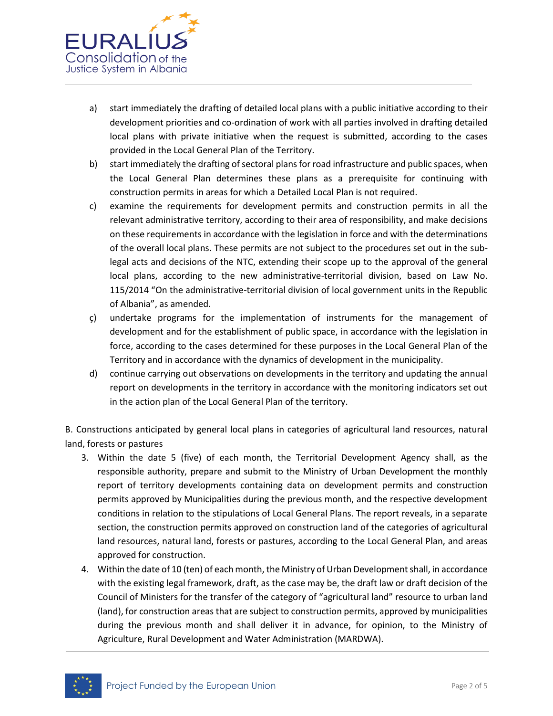

- a) start immediately the drafting of detailed local plans with a public initiative according to their development priorities and co-ordination of work with all parties involved in drafting detailed local plans with private initiative when the request is submitted, according to the cases provided in the Local General Plan of the Territory.
- b) start immediately the drafting of sectoral plans for road infrastructure and public spaces, when the Local General Plan determines these plans as a prerequisite for continuing with construction permits in areas for which a Detailed Local Plan is not required.
- c) examine the requirements for development permits and construction permits in all the relevant administrative territory, according to their area of responsibility, and make decisions on these requirements in accordance with the legislation in force and with the determinations of the overall local plans. These permits are not subject to the procedures set out in the sublegal acts and decisions of the NTC, extending their scope up to the approval of the general local plans, according to the new administrative-territorial division, based on Law No. 115/2014 "On the administrative-territorial division of local government units in the Republic of Albania", as amended.
- ç) undertake programs for the implementation of instruments for the management of development and for the establishment of public space, in accordance with the legislation in force, according to the cases determined for these purposes in the Local General Plan of the Territory and in accordance with the dynamics of development in the municipality.
- d) continue carrying out observations on developments in the territory and updating the annual report on developments in the territory in accordance with the monitoring indicators set out in the action plan of the Local General Plan of the territory.

B. Constructions anticipated by general local plans in categories of agricultural land resources, natural land, forests or pastures

- 3. Within the date 5 (five) of each month, the Territorial Development Agency shall, as the responsible authority, prepare and submit to the Ministry of Urban Development the monthly report of territory developments containing data on development permits and construction permits approved by Municipalities during the previous month, and the respective development conditions in relation to the stipulations of Local General Plans. The report reveals, in a separate section, the construction permits approved on construction land of the categories of agricultural land resources, natural land, forests or pastures, according to the Local General Plan, and areas approved for construction.
- 4. Within the date of 10 (ten) of each month, the Ministry of Urban Development shall, in accordance with the existing legal framework, draft, as the case may be, the draft law or draft decision of the Council of Ministers for the transfer of the category of "agricultural land" resource to urban land (land), for construction areas that are subject to construction permits, approved by municipalities during the previous month and shall deliver it in advance, for opinion, to the Ministry of Agriculture, Rural Development and Water Administration (MARDWA).

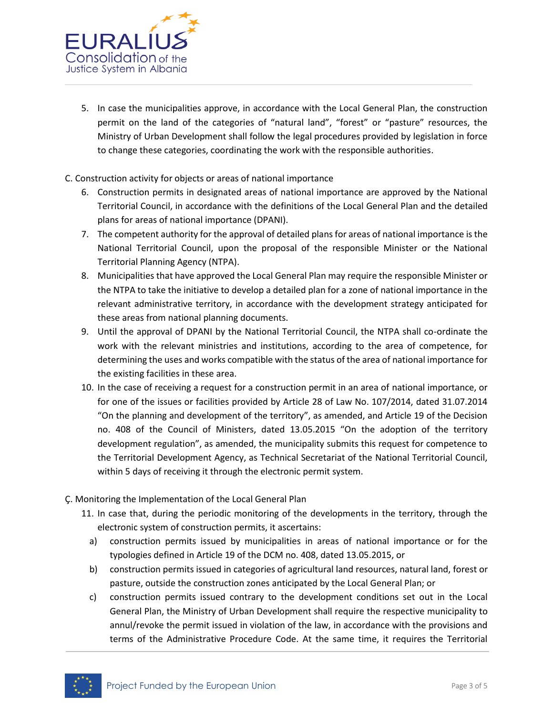

5. In case the municipalities approve, in accordance with the Local General Plan, the construction permit on the land of the categories of "natural land", "forest" or "pasture" resources, the Ministry of Urban Development shall follow the legal procedures provided by legislation in force to change these categories, coordinating the work with the responsible authorities.

# C. Construction activity for objects or areas of national importance

- 6. Construction permits in designated areas of national importance are approved by the National Territorial Council, in accordance with the definitions of the Local General Plan and the detailed plans for areas of national importance (DPANI).
- 7. The competent authority for the approval of detailed plans for areas of national importance is the National Territorial Council, upon the proposal of the responsible Minister or the National Territorial Planning Agency (NTPA).
- 8. Municipalities that have approved the Local General Plan may require the responsible Minister or the NTPA to take the initiative to develop a detailed plan for a zone of national importance in the relevant administrative territory, in accordance with the development strategy anticipated for these areas from national planning documents.
- 9. Until the approval of DPANI by the National Territorial Council, the NTPA shall co-ordinate the work with the relevant ministries and institutions, according to the area of competence, for determining the uses and works compatible with the status of the area of national importance for the existing facilities in these area.
- 10. In the case of receiving a request for a construction permit in an area of national importance, or for one of the issues or facilities provided by Article 28 of Law No. 107/2014, dated 31.07.2014 "On the planning and development of the territory", as amended, and Article 19 of the Decision no. 408 of the Council of Ministers, dated 13.05.2015 "On the adoption of the territory development regulation", as amended, the municipality submits this request for competence to the Territorial Development Agency, as Technical Secretariat of the National Territorial Council, within 5 days of receiving it through the electronic permit system.
- Ç. Monitoring the Implementation of the Local General Plan
	- 11. In case that, during the periodic monitoring of the developments in the territory, through the electronic system of construction permits, it ascertains:
		- a) construction permits issued by municipalities in areas of national importance or for the typologies defined in Article 19 of the DCM no. 408, dated 13.05.2015, or
		- b) construction permits issued in categories of agricultural land resources, natural land, forest or pasture, outside the construction zones anticipated by the Local General Plan; or
		- c) construction permits issued contrary to the development conditions set out in the Local General Plan, the Ministry of Urban Development shall require the respective municipality to annul/revoke the permit issued in violation of the law, in accordance with the provisions and terms of the Administrative Procedure Code. At the same time, it requires the Territorial

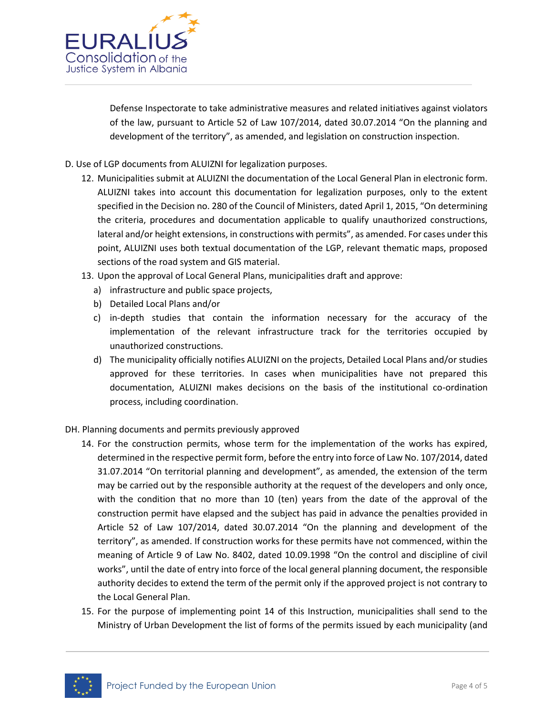

Defense Inspectorate to take administrative measures and related initiatives against violators of the law, pursuant to Article 52 of Law 107/2014, dated 30.07.2014 "On the planning and development of the territory", as amended, and legislation on construction inspection.

- D. Use of LGP documents from ALUIZNI for legalization purposes.
	- 12. Municipalities submit at ALUIZNI the documentation of the Local General Plan in electronic form. ALUIZNI takes into account this documentation for legalization purposes, only to the extent specified in the Decision no. 280 of the Council of Ministers, dated April 1, 2015, "On determining the criteria, procedures and documentation applicable to qualify unauthorized constructions, lateral and/or height extensions, in constructions with permits", as amended. For cases under this point, ALUIZNI uses both textual documentation of the LGP, relevant thematic maps, proposed sections of the road system and GIS material.
	- 13. Upon the approval of Local General Plans, municipalities draft and approve:
		- a) infrastructure and public space projects,
		- b) Detailed Local Plans and/or
		- c) in-depth studies that contain the information necessary for the accuracy of the implementation of the relevant infrastructure track for the territories occupied by unauthorized constructions.
		- d) The municipality officially notifies ALUIZNI on the projects, Detailed Local Plans and/or studies approved for these territories. In cases when municipalities have not prepared this documentation, ALUIZNI makes decisions on the basis of the institutional co-ordination process, including coordination.
- DH. Planning documents and permits previously approved
	- 14. For the construction permits, whose term for the implementation of the works has expired, determined in the respective permit form, before the entry into force of Law No. 107/2014, dated 31.07.2014 "On territorial planning and development", as amended, the extension of the term may be carried out by the responsible authority at the request of the developers and only once, with the condition that no more than 10 (ten) years from the date of the approval of the construction permit have elapsed and the subject has paid in advance the penalties provided in Article 52 of Law 107/2014, dated 30.07.2014 "On the planning and development of the territory", as amended. If construction works for these permits have not commenced, within the meaning of Article 9 of Law No. 8402, dated 10.09.1998 "On the control and discipline of civil works", until the date of entry into force of the local general planning document, the responsible authority decides to extend the term of the permit only if the approved project is not contrary to the Local General Plan.
	- 15. For the purpose of implementing point 14 of this Instruction, municipalities shall send to the Ministry of Urban Development the list of forms of the permits issued by each municipality (and